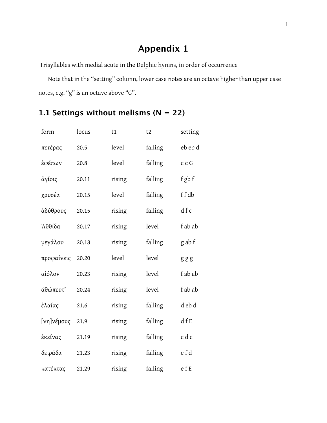## **Appendix 1**

Trisyllables with medial acute in the Delphic hymns, in order of occurrence

Note that in the "setting" column, lower case notes are an octave higher than upper case notes, e.g. "g" is an octave above "G".

## **1.1 Settings without melisms (N = 22)**

| form          | locus | t1     | t2      | setting |
|---------------|-------|--------|---------|---------|
| πετέρας       | 20.5  | level  | falling | eb eb d |
| έφέπων        | 20.8  | level  | falling | c c G   |
| άγίοις        | 20.11 | rising | falling | f gb f  |
| χρυσέα        | 20.15 | level  | falling | ffdb    |
| άδύθρους      | 20.15 | rising | falling | dfc     |
| <b>Ἀθθίδα</b> | 20.17 | rising | level   | f ab ab |
| μεγάλου       | 20.18 | rising | falling | g ab f  |
| προφαίνεις    | 20.20 | level  | level   | ggg     |
| αἰόλον        | 20.23 | rising | level   | f ab ab |
| άθώπευτ'      | 20.24 | rising | level   | f ab ab |
| ἐλαίας        | 21.6  | rising | falling | d eb d  |
| [νη]νέμους    | 21.9  | rising | falling | dfE     |
| ἐκείνας       | 21.19 | rising | falling | c d c   |
| δειράδα       | 21.23 | rising | falling | e f d   |
| κατέκτας      | 21.29 | rising | falling | efE     |